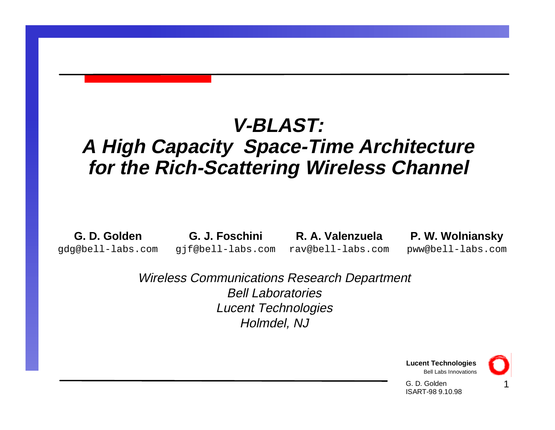### **V-BLAST:**

#### **A High Capacity Space-Time Architecture for the Rich-Scattering Wireless Channel**

**G. D. Golden**gdg@bell-labs.com

**G. J. Foschini** gjf@bell-labs.com

**R. A. Valenzuela**rav@bell-labs.com

#### **P. W. Wolniansky**

pww@bell-labs.com

Wireless Communications Research Department Bell LaboratoriesLucent Technologies Holmdel, NJ



1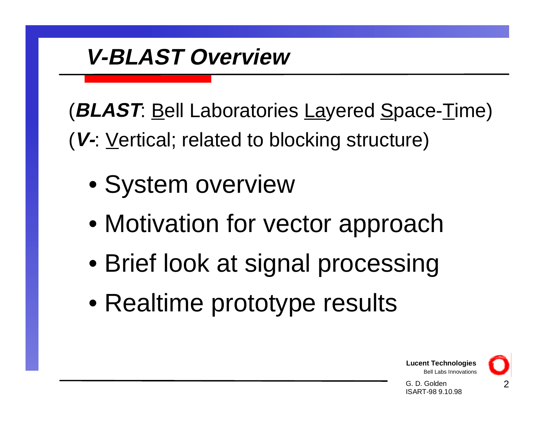# **V-BLAST Overview**

(**BLAST**: Bell Laboratories Layered Space-Time)

(**V-**: Vertical; related to blocking structure)

- System overview
- Motivation for vector approach
- Brief look at signal processing
- Realtime prototype results



2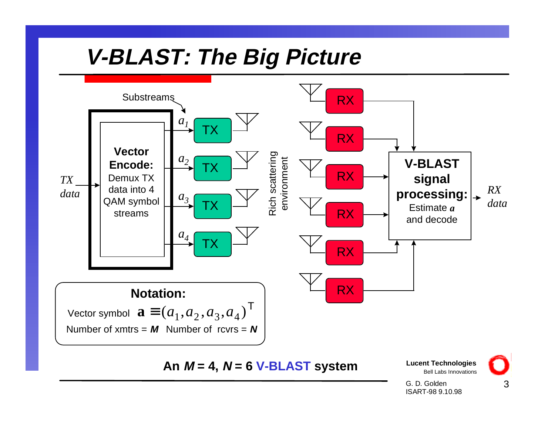# **V-BLAST: The Big Picture**



**An M = 4, N = 6 V-BLAST system**

**Lucent Technologies** Bell Labs Innovations

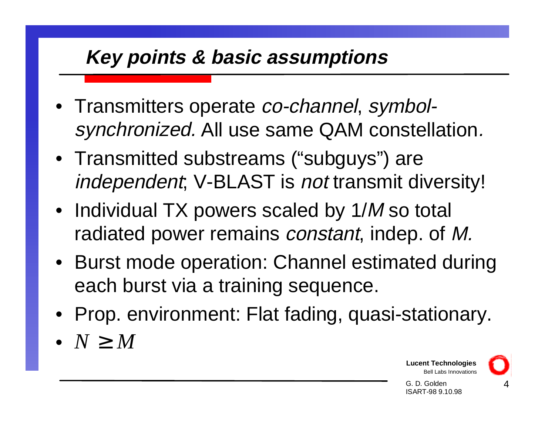#### **Key points & basic assumptions**

- Transmitters operate *co-channel*, symbolsynchronized. All use same QAM constellation.
- Transmitted substreams ("subguys") are independent; V-BLAST is not transmit diversity!
- Individual TX powers scaled by 1/M so total radiated power remains constant, indep. of M.
- Burst mode operation: Channel estimated during each burst via a training sequence.
- Prop. environment: Flat fading, quasi-stationary.
- *N M*≥

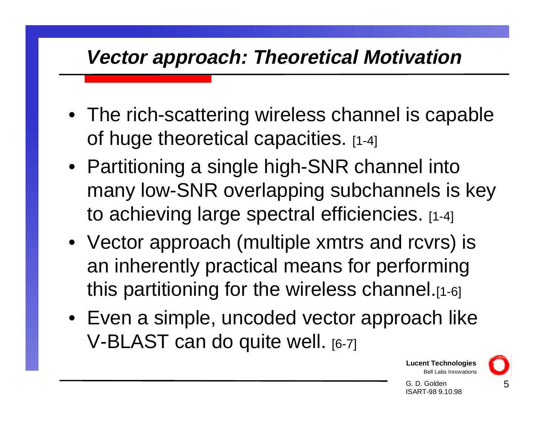#### **Vector approach: Theoretical Motivation**

- The rich-scattering wireless channel is capable of huge theoretical capacities. [1-4]
- Partitioning a single high-SNR channel into many low-SNR overlapping subchannels is key to achieving large spectral efficiencies. [1-4]
- Vector approach (multiple xmtrs and rcvrs) is an inherently practical means for performing this partitioning for the wireless channel.[1-6]
- Even a simple, uncoded vector approach like V-BLAST can do quite well. [6-7]

**Lucent Technologies** Bell Labs Innovations

G. D. GoldenISART-98 9.10.98 5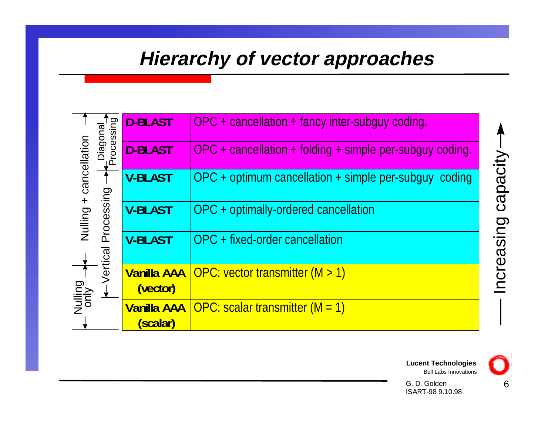#### **Hierarchy of vector approaches**

|                        | Processing<br>lagor   | <b>D-BLAST</b>                 | $OPC + cancellation + fancy$ inter-subguy coding.          |
|------------------------|-----------------------|--------------------------------|------------------------------------------------------------|
|                        |                       | <b>D-BLAST</b>                 | $OPC + cancellation + folding + simple per-subguy coding.$ |
| Nulling + cancellation | Processing<br>/ertica | <b>V-BLAST</b>                 | $OPC +$ optimum cancellation $+$ simple per-subguy coding  |
|                        |                       | <b>V-BLAST</b>                 | OPC + optimally-ordered cancellation                       |
|                        |                       | <b>V-BLAST</b>                 | OPC + fixed-order cancellation                             |
| Nulling                |                       | <b>Vanilla AAA</b><br>(vector) | OPC: vector transmitter $(M > 1)$                          |
|                        |                       | <b>Vanilla AAA</b><br>(scalar) | OPC: scalar transmitter $(M = 1)$                          |



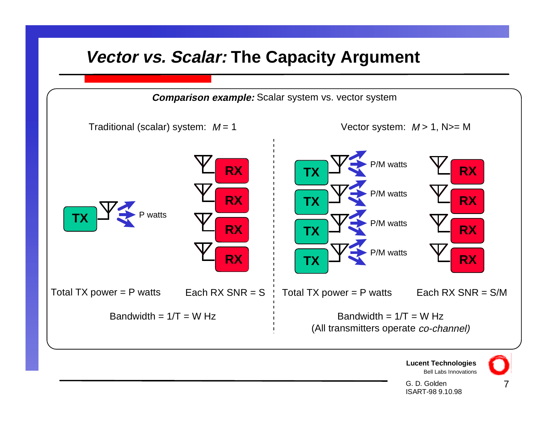#### **Vector vs. Scalar: The Capacity Argument**

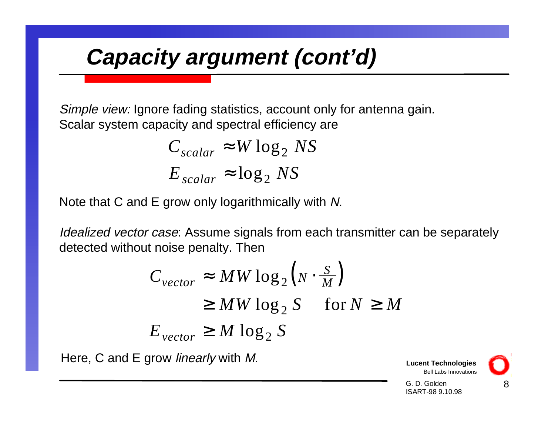# **Capacity argument (cont'd)**

Simple view: Ignore fading statistics, account only for antenna gain. Scalar system capacity and spectral efficiency are

$$
C_{scalar} \approx W \log_2 NS
$$
  

$$
E_{scalar} \approx \log_2 NS
$$

Note that C and E grow only logarithmically with N.

Idealized vector case: Assume signals from each transmitter can be separately detected without noise penalty. Then

$$
C_{vector} \approx MW \log_2 \left( N \cdot \frac{S}{M} \right)
$$
  
\n
$$
\geq MW \log_2 S \quad \text{for } N \geq M
$$
  
\n
$$
E_{vector} \geq M \log_2 S
$$

Here, C and E grow *linearly* with M.

**Lucent Technologies** Bell Labs Innovations

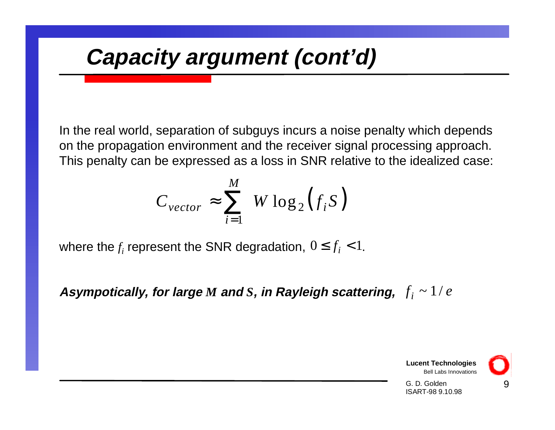# **Capacity argument (cont'd)**

In the real world, separation of subguys incurs a noise penalty which depends on the propagation environment and the receiver signal processing approach. This penalty can be expressed as a loss in SNR relative to the idealized case:

$$
C_{vector} \approx \sum_{i=1}^{M} W \log_2(f_i S)
$$

where the  $f_i$  represent the SNR degradation,  $0 \leq f_i < 1$ .

Asympotically, for large  $M$  and  $S$ , in Rayleigh scattering,  $|f_i|\sim 1/e$ 

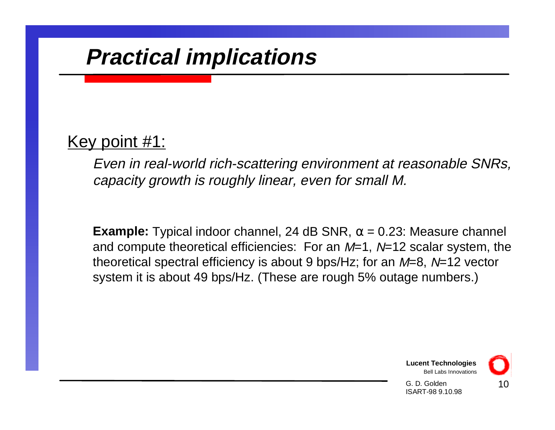# **Practical implications**

#### Key point #1:

Even in real-world rich-scattering environment at reasonable SNRs, capacity growth is roughly linear, even for small M.

**Example:** Typical indoor channel, 24 dB SNR,  $\alpha$  = 0.23: Measure channel and compute theoretical efficiencies: For an  $M=1$ ,  $N=12$  scalar system, the theoretical spectral efficiency is about 9 bps/Hz; for an  $M=8$ ,  $N=12$  vector system it is about 49 bps/Hz. (These are rough 5% outage numbers.)



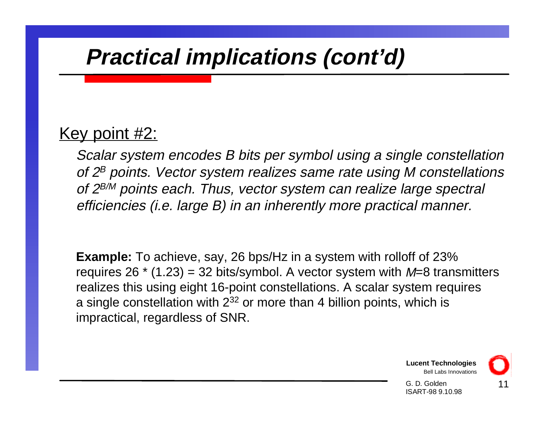# **Practical implications (cont'd)**

#### Key point #2:

Scalar system encodes B bits per symbol using a single constellation of  $2^B$  points. Vector system realizes same rate using M constellations of  $2^{B/M}$  points each. Thus, vector system can realize large spectral efficiencies (i.e. large B) in an inherently more practical manner.

**Example:** To achieve, say, 26 bps/Hz in a system with rolloff of 23% requires  $26 * (1.23) = 32$  bits/symbol. A vector system with  $M=8$  transmitters realizes this using eight 16-point constellations. A scalar system requires a single constellation with  $2^{32}$  or more than 4 billion points, which is impractical, regardless of SNR.

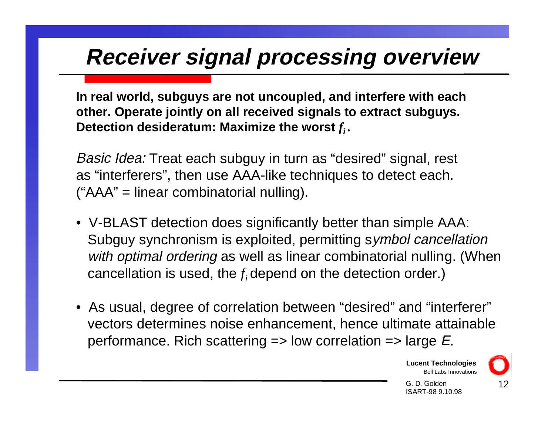# **Receiver signal processing overview**

**In real world, subguys are not uncoupled, and interfere with each other. Operate jointly on all received signals to extract subguys.** Detection desideratum: Maximize the worst  $f_i$ .

Basic Idea: Treat each subguy in turn as "desired" signal, rest as "interferers", then use AAA-like techniques to detect each. ("AAA" = linear combinatorial nulling).

- V-BLAST detection does significantly better than simple AAA: Subguy synchronism is exploited, permitting symbol cancellation with optimal ordering as well as linear combinatorial nulling. (When cancellation is used, the  $f_i$  depend on the detection order.)
- As usual, degree of correlation between "desired" and "interferer" vectors determines noise enhancement, hence ultimate attainable performance. Rich scattering  $\Rightarrow$  low correlation  $\Rightarrow$  large E.

**Lucent Technologies** Bell Labs Innovations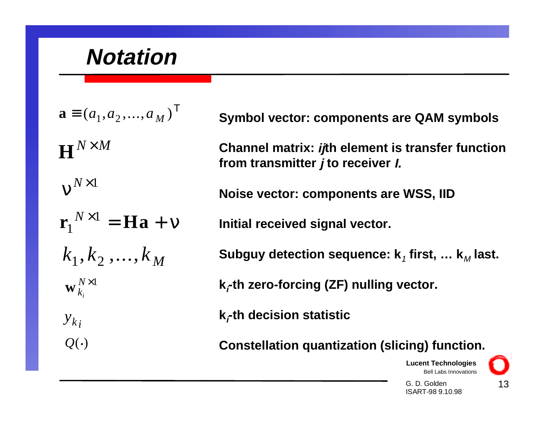## **Notation**

 $\mathbf{a} \equiv (a_1, a_2, ..., a_M)^\mathsf{T}$  $\mathbf{H}^{N \times M}$  $v^{N \times 1}$  $\mathbf{r}_{1}^{N\times1}=\mathbf{H}\mathbf{a}+\mathbf{v}$  $k_{1},k_{2}% ,k_{1}$  ,  $k_{1}$  ,  $k_{2}$  ,  $\dots,k_{M}$  $\mathbf{w}^{N\times 1}_{k_i}$ *yk i* $Q(\cdot)$ 

**Symbol vector: components are QAM symbols**

**Channel matrix: ijth element is transfer function from transmitter j to receiver I.**

**Noise vector: components are WSS, IID**

**Initial received signal vector.**

**Subguy detection sequence: k<sub>1</sub> first, ... k<sub>M</sub> last.** 

**k**-th zero-forcing (ZF) nulling vector.

**ki-th decision statistic**

**Constellation quantization (slicing) function.**

**Lucent Technologies** Bell Labs Innovations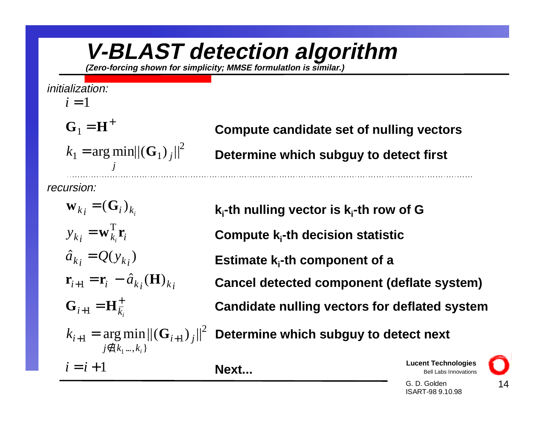## **V-BLAST detection algorithm**

**(Zero-forcing shown for simplicity; MMSE formulatlon is similar.)**

#### initialization:

#### $i=1$

=  $\mathbf{G}_1 = \mathbf{H}^+$ 

 $k_1 = \arg \min ||(\mathbf{G}_1)|_j$ *j* arg min $\left\| \left(\mathbf{G}_1\right)_i \right\|^2$ 

recursion:

 $y_{k_i} = \mathbf{w}_{k_i} \mathbf{r}_i$  $\hat{a}_{k_i} = Q(y_{k_i})$  $\mathbf{r}_{i+1} = \mathbf{r}_i - \hat{a}_{k_i}(\mathbf{H})_{k_i}$  $k_{i+1} = \arg \min ||(\mathbf{G}_{i+1})_{j}$  $k_i$   $\sim$   $\mathbf{U}_i / k_i$  $i+1$  – **11** $k_i$  $j \notin \{k_1,...,k_i\}$  ${\bf w}_k$ <sub>i</sub> =  $({\bf G}_i)$  $=$  **w**  $_{k}$  **r**  $_{+1} =$  $\mathbf{G}_{i+1} = \mathbf{H}_{\overline{k}}^+$ arg min $\left\|\left(\mathbf{G}_{i+1}\right)_{i}\right\|^{2}$  $\hat{a}_{k_i} = Q(y_{k_i})$  $\hat{a}_{k}$  (  $\bf H)$  $\rm T$ 

**Compute candidate set of nulling vectors**

**Determine which subguy to detect first**

**ki-th nulling vector is ki-th row of G**

**Compute ki-th decision statistic**

**Estimate k<sub>i</sub>-th component of a** 

**Cancel detected component (deflate system)**

**Candidate nulling vectors for deflated system**

**Determine which subguy to detect next**

 $i = i + 1$ 

**Next...**

**Lucent Technologies** Bell Labs Innovations

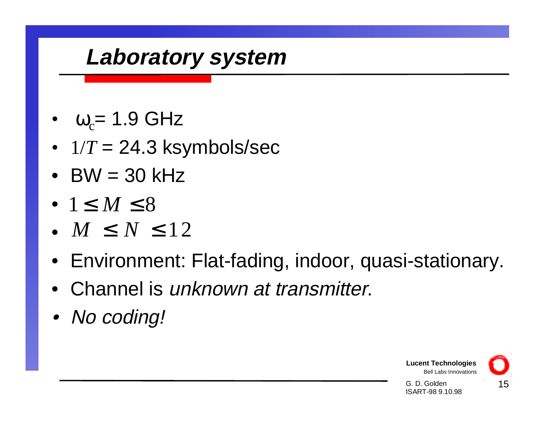## **Laboratory system**

- • $ω<sub>c</sub> = 1.9$  GHz
- 1/*<sup>T</sup>* = 24.3 ksymbols/sec
- BW = 30 kHz
- $1\leq M\leq 8$
- $M~\leq~N~\leq12$
- Environment: Flat-fading, indoor, quasi-stationary.
- Channel is unknown at transmitter.
- No coding!

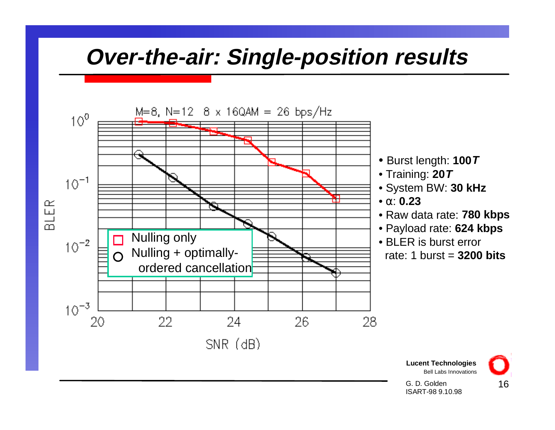## **Over-the-air: Single-position results**



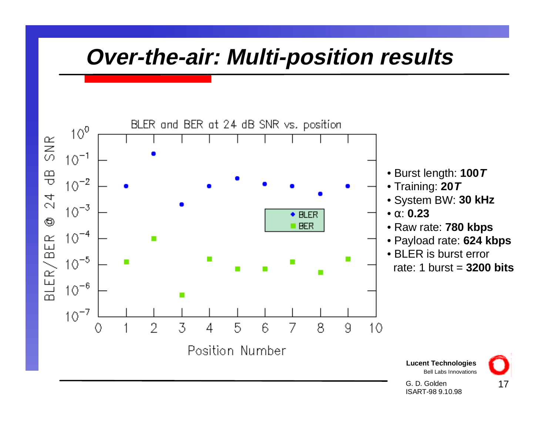# **Over-the-air: Multi-position results**